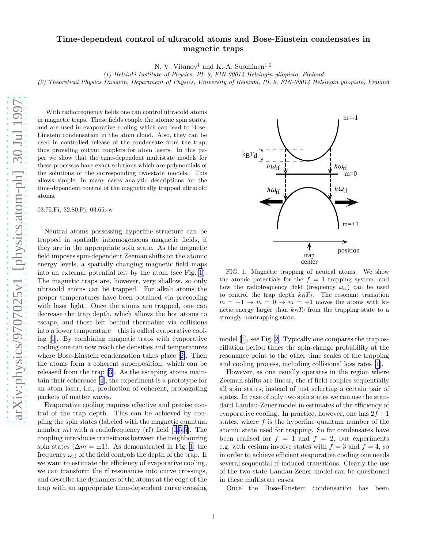N. V. Vitanov<sup>1</sup> and K.-A. Suominen<sup>1,2</sup>

(1) Helsinki Institute of Physics, PL 9, FIN-00014 Helsingin yliopisto, Finland (2) Theoretical Physics Division, Department of Physics, University of Helsinki, PL 9, FIN-00014 Helsingin yliopisto, Finland

With radiofrequency fields one can control ultracold atoms in magnetic traps. These fields couple the atomic spin states, and are used in evaporative cooling which can lead to Bose-Einstein condensation in the atom cloud. Also, they can be used in controlled release of the condensate from the trap, thus providing output couplers for atom lasers. In this paper we show that the time-dependent multistate models for these processes have exact solutions which are polynomials of the solutions of the corresponding two-state models. This allows simple, in many cases analytic descriptions for the time-dependent control of the magnetically trapped ultracold atoms.

03.75.Fi, 32.80.Pj, 03.65.-w

Neutral atoms possessing hyperfine structure can be trapped in spatially inhomogeneous magnetic fields, if they are in the appropriate spin state. As the magnetic field imposes spin-dependent Zeeman shifts on the atomic energy levels, a spatially changing magnetic field maps into an external potential felt by the atom (see Fig. 1). The magnetic traps are, however, very shallow, so only ultracold atoms can be trapped. For alkali atoms the proper temperatures have been obtained via precooling with laser light. Once the atoms are trapped, one can decrease the trap depth, which allows the hot atoms to escape, and those left behind thermalize via collisions into a lower temperature—this is called evaporative cooling [\[1](#page-3-0)]. By combining magnetic traps with evaporative cooling one can now reach the densities and temperatures where Bose-Einstein condensation takes place[[2\]](#page-3-0). Then the atoms form a coherent superposition, which can be released from the trap [\[3](#page-3-0)]. As the escaping atoms maintain their coherence [\[4](#page-3-0)], the experiment is a prototype for an atom laser, i.e., production of coherent, propagating packets of matter waves.

Evaporative cooling requires effective and precise control of the trap depth. This can be achieved by coupling the spin states (labeled with the magnetic quantum number m) with a radiofrequency (rf) field  $[1,5,6]$  $[1,5,6]$ . The coupling introduces transitions between the neighbouring spin states ( $\Delta m = \pm 1$ ). As demonstrated in Fig. 1, the frequency  $\omega_{\rm rf}$  of the field controls the depth of the trap. If we want to estimate the efficiency of evaporative cooling, we can transform the rf resonances into curve crossings, and describe the dynamics of the atoms at the edge of the trap with an appropriate time-dependent curve crossing



FIG. 1. Magnetic trapping of neutral atoms. We show the atomic potentials for the  $f = 1$  trapping system, and how the radiofrequency field (frequency  $\omega_{\text{rf}}$ ) can be used to control the trap depth  $k_B T_d$ . The resonant transition  $m = -1 \rightarrow m = 0 \rightarrow m = +1$  moves the atoms with kinetic energy larger than  $k_B T_d$  from the trapping state to a strongly nontrapping state.

model[[1\]](#page-3-0), see Fig. [2.](#page-1-0) Typically one compares the trap oscillation period times the spin-change probability at the resonance point to the other time scales of the trapping and cooling process, including collisional loss rates [\[1](#page-3-0)].

However, as one usually operates in the region where Zeeman shifts are linear, the rf field couples sequentially all spin states, instead of just selecting a certain pair of states. In case of only two spin states we can use the standard Landau-Zener model in estimates of the efficiency of evaporative cooling. In practice, however, one has  $2f + 1$ states, where  $f$  is the hyperfine quantum number of the atomic state used for trapping. So far condensates have been realised for  $f = 1$  and  $f = 2$ , but experiments e.g. with cesium involve states with  $f = 3$  and  $f = 4$ , so in order to achieve efficient evaporative cooling one needs several sequential rf-induced transitions. Clearly the use of the two-state Landau-Zener model can be questioned in these multistate cases.

Once the Bose-Einstein condensation has been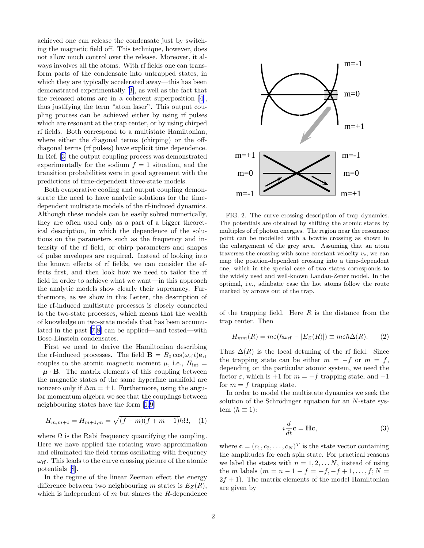<span id="page-1-0"></span>achieved one can release the condensate just by switching the magnetic field off. This technique, however, does not allow much control over the release. Moreover, it always involves all the atoms. With rf fields one can transform parts of the condensate into untrapped states, in which they are typically accelerated away—this has been demonstrated experimentally[[3\]](#page-3-0), as well as the fact that the released atoms are in a coherent superposition[[4\]](#page-3-0), thus justifying the term "atom laser". This output coupling process can be achieved either by using rf pulses which are resonant at the trap center, or by using chirped rf fields. Both correspond to a multistate Hamiltonian, where either the diagonal terms (chirping) or the offdiagonal terms (rf pulses) have explicit time dependence. In Ref.[[3\]](#page-3-0) the output coupling process was demonstrated experimentally for the sodium  $f = 1$  situation, and the transition probabilities were in good agreement with the predictions of time-dependent three-state models.

Both evaporative cooling and output coupling demonstrate the need to have analytic solutions for the timedependent multistate models of the rf-induced dynamics. Although these models can be easily solved numerically, they are often used only as a part of a bigger theoretical description, in which the dependence of the solutions on the parameters such as the frequency and intensity of the rf field, or chirp parameters and shapes of pulse envelopes are required. Instead of looking into the known effects of rf fields, we can consider the effects first, and then look how we need to tailor the rf field in order to achieve what we want—in this approach the analytic models show clearly their supremacy. Furthermore, as we show in this Letter, the description of the rf-induced multistate processes is closely connected to the two-state processes, which means that the wealth of knowledge on two-state models that has been accumulated in the past [\[7](#page-3-0),[8\]](#page-3-0) can be applied—and tested—with Bose-Einstein condensates.

First we need to derive the Hamiltonian describing the rf-induced processes. The field  $\mathbf{B} = B_0 \cos(\omega_{\text{rf}} t) \mathbf{e}_{\text{rf}}$ couples to the atomic magnetic moment  $\mu$ , i.e.,  $H_{\text{int}} =$  $-\mu \cdot \mathbf{B}$ . The matrix elements of this coupling between the magnetic states of the same hyperfine manifold are nonzero only if  $\Delta m = \pm 1$ . Furthermore, using the angular momentum algebra we see that the couplings between neighbouring states have the form[[1,9](#page-3-0)]

$$
H_{m,m+1} = H_{m+1,m} = \sqrt{(f-m)(f+m+1)}\hbar\Omega, \quad (1)
$$

where  $\Omega$  is the Rabi frequency quantifying the coupling. Here we have applied the rotating wave approximation and eliminated the field terms oscillating with frequency  $\omega_{\rm rf}$ . This leads to the curve crossing picture of the atomic potentials[[8\]](#page-3-0).

In the regime of the linear Zeeman effect the energy difference between two neighbouring m states is  $E_Z(R)$ , which is independent of  $m$  but shares the  $R$ -dependence



FIG. 2. The curve crossing description of trap dynamics. The potentials are obtained by shifting the atomic states by multiples of rf photon energies. The region near the resonance point can be modelled with a bowtie crossing as shown in the enlargement of the grey area. Assuming that an atom traverses the crossing with some constant velocity  $v_c$ , we can map the position-dependent crossing into a time-dependent one, which in the special case of two states corresponds to the widely used and well-known Landau-Zener model. In the optimal, i.e., adiabatic case the hot atoms follow the route marked by arrows out of the trap.

of the trapping field. Here  $R$  is the distance from the trap center. Then

$$
H_{mm}(R) = m\varepsilon(\hbar\omega_{\text{rf}} - |E_Z(R)|) \equiv m\varepsilon\hbar\Delta(R). \qquad (2)
$$

Thus  $\Delta(R)$  is the local detuning of the rf field. Since the trapping state can be either  $m = -f$  or  $m = f$ , depending on the particular atomic system, we need the factor  $\varepsilon$ , which is +1 for  $m = -f$  trapping state, and -1 for  $m = f$  trapping state.

In order to model the multistate dynamics we seek the solution of the Schrödinger equation for an  $N$ -state system  $(\hbar \equiv 1)$ :

$$
i\frac{d}{dt}\mathbf{c} = \mathbf{H}\mathbf{c},\tag{3}
$$

where  $\mathbf{c} = (c_1, c_2, \dots, c_N)^T$  is the state vector containing the amplitudes for each spin state. For practical reasons we label the states with  $n = 1, 2, \ldots N$ , instead of using the *m* labels  $(m = n - 1 - f = -f, -f + 1, \ldots, f; N =$  $2f + 1$ ). The matrix elements of the model Hamiltonian are given by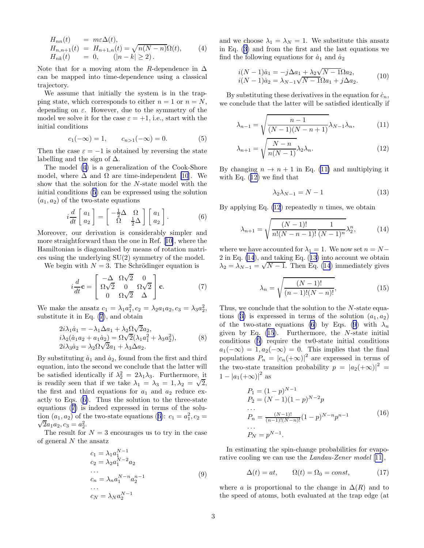<span id="page-2-0"></span>
$$
H_{nn}(t) = m\varepsilon \Delta(t),
$$
  
\n
$$
H_{n,n+1}(t) = H_{n+1,n}(t) = \sqrt{n(N-n)}\Omega(t),
$$
  
\n
$$
H_{nk}(t) = 0, \quad (|n-k| \ge 2).
$$
\n(4)

Note that for a moving atom the R-dependence in  $\Delta$ can be mapped into time-dependence using a classical trajectory.

We assume that initially the system is in the trapping state, which corresponds to either  $n = 1$  or  $n = N$ , depending on  $\varepsilon$ . However, due to the symmetry of the model we solve it for the case  $\varepsilon = +1$ , i.e., start with the initial conditions

$$
c_1(-\infty) = 1,
$$
  $c_{n>1}(-\infty) = 0.$  (5)

Then the case  $\varepsilon = -1$  is obtained by reversing the state labelling and the sign of  $\Delta$ .

The model (4) is a generalization of the Cook-Shore model, where  $\Delta$  and  $\Omega$  are time-independent [\[10](#page-3-0)]. We show that the solution for the N-state model with the initial conditions (5) can be expressed using the solution  $(a_1, a_2)$  of the two-state equations

$$
i\frac{d}{dt}\begin{bmatrix} a_1 \\ a_2 \end{bmatrix} = \begin{bmatrix} -\frac{1}{2}\Delta & \Omega \\ \Omega & \frac{1}{2}\Delta \end{bmatrix} \begin{bmatrix} a_1 \\ a_2 \end{bmatrix}.
$$
 (6)

Moreover, our derivation is considerably simpler and more straightforward than the one in Ref.[[10\]](#page-3-0), where the Hamiltonian is diagonalised by means of rotation matrices using the underlying SU(2) symmetry of the model.

We begin with  $N = 3$ . The Schrödinger equation is

$$
i\frac{d}{dt}\mathbf{c} = \begin{bmatrix} -\Delta & \Omega\sqrt{2} & 0\\ \Omega\sqrt{2} & 0 & \Omega\sqrt{2} \\ 0 & \Omega\sqrt{2} & \Delta \end{bmatrix}\mathbf{c}.
$$
 (7)

We make the ansatz  $c_1 = \lambda_1 a_1^2$ ,  $c_2 = \lambda_2 a_1 a_2$ ,  $c_3 = \lambda_3 a_2^2$ , substitute it in Eq. (7), and obtain

$$
2i\lambda_1 \dot{a}_1 = -\lambda_1 \Delta a_1 + \lambda_2 \Omega \sqrt{2} a_2, \n i\lambda_2 (\dot{a}_1 a_2 + a_1 \dot{a}_2) = \Omega \sqrt{2} (\lambda_1 a_1^2 + \lambda_3 a_2^2), \n 2i\lambda_3 \dot{a}_2 = \lambda_2 \Omega \sqrt{2} a_1 + \lambda_3 \Delta a_2.
$$
\n(8)

By substituting  $\dot{a}_1$  and  $\dot{a}_2$ , found from the first and third equation, into the second we conclude that the latter will be satisfied identically if  $\lambda_2^2 = 2\lambda_1\lambda_3$ . Furthermore, it is readily seen that if we take  $\lambda_1 = \lambda_3 = 1, \lambda_2 = \sqrt{2}$ , the first and third equations for  $a_1$  and  $a_2$  reduce exactly to Eqs. (6). Thus the solution to the three-state equations (7) is indeed expressed in terms of the solution  $(a_1, a_2)$  of the two-state equations (6):  $c_1 = a_1^2, c_2 =$  $\sqrt{2}a_1a_2, c_3 = a_2^2.$ 

The result for  $N = 3$  encourages us to try in the case of general  $N$  the ansatz

$$
c_1 = \lambda_1 a_1^{N-1}
$$
  
\n
$$
c_2 = \lambda_2 a_1^{N-2} a_2
$$
  
\n...  
\n
$$
c_n = \lambda_n a_1^{N-n} a_2^{n-1}
$$
  
\n...  
\n
$$
c_N = \lambda_N a_2^{N-1}
$$
  
\n(9)

and we choose  $\lambda_1 = \lambda_N = 1$ . We substitute this ansatz in Eq.([3\)](#page-1-0) and from the first and the last equations we find the following equations for  $\dot{a}_1$  and  $\dot{a}_2$ 

$$
i(N-1)\dot{a}_1 = -j\Delta a_1 + \lambda_2 \sqrt{N-1} \Omega a_2, \n i(N-1)\dot{a}_2 = \lambda_{N-1} \sqrt{N-1} \Omega a_1 + j\Delta a_2.
$$
\n(10)

By substituting these derivatives in the equation for  $\dot{c}_n$ , we conclude that the latter will be satisfied identically if

$$
\lambda_{n-1} = \sqrt{\frac{n-1}{(N-1)(N-n+1)}} \lambda_{N-1} \lambda_n, \qquad (11)
$$

$$
\lambda_{n+1} = \sqrt{\frac{N-n}{n(N-1)}} \lambda_2 \lambda_n.
$$
\n(12)

By changing  $n \to n+1$  in Eq. (11) and multiplying it with Eq. (12) we find that

$$
\lambda_2 \lambda_{N-1} = N - 1 \tag{13}
$$

By applying Eq.  $(12)$  repeatedly *n* times, we obtain

$$
\lambda_{n+1} = \sqrt{\frac{(N-1)!}{n!(N-n-1)!}} \frac{1}{(N-1)^n} \lambda_2^n,
$$
 (14)

where we have accounted for  $\lambda_1 = 1$ . We now set  $n = N-$ 2 in Eq. (14), and taking Eq. (13) into account we obtain  $\lambda_2 = \lambda_{N-1} = \sqrt{N-1}$ . Then Eq. (14) immediately gives

$$
\lambda_n = \sqrt{\frac{(N-1)!}{(n-1)!(N-n)!}},
$$
\n(15)

Thus, we conclude that the solution to the N-state equa-tions([3\)](#page-1-0) is expressed in terms of the solution  $(a_1, a_2)$ of the two-state equations (6) by Eqs. (9) with  $\lambda_n$ given by Eq.  $(15)$ . Furthermore, the *N*-state initial conditions (5) require the tw0-state initial conditions  $a_1(-\infty) = 1, a_2(-\infty) = 0.$  This implies that the final populations  $P_n = |c_n(+\infty)|^2$  are expressed in terms of the two-state transition probability  $p = |a_2(+\infty)|^2$  $1 - |a_1(+\infty)|^2$  as

$$
P_1 = (1 - p)^{N-1}
$$
  
\n
$$
P_2 = (N - 1)(1 - p)^{N-2}p
$$
  
\n...  
\n
$$
P_n = \frac{(N-1)!}{(n-1)!(N-n)!}(1 - p)^{N-n}p^{n-1}
$$
  
\n...  
\n
$$
P_N = p^{N-1}.
$$
\n(16)

In estimating the spin-change probabilities for evaporative cooling we can use the Landau-Zener model [[11\]](#page-3-0),

$$
\Delta(t) = at, \qquad \Omega(t) = \Omega_0 = const, \tag{17}
$$

where a is proportional to the change in  $\Delta(R)$  and to the speed of atoms, both evaluated at the trap edge (at